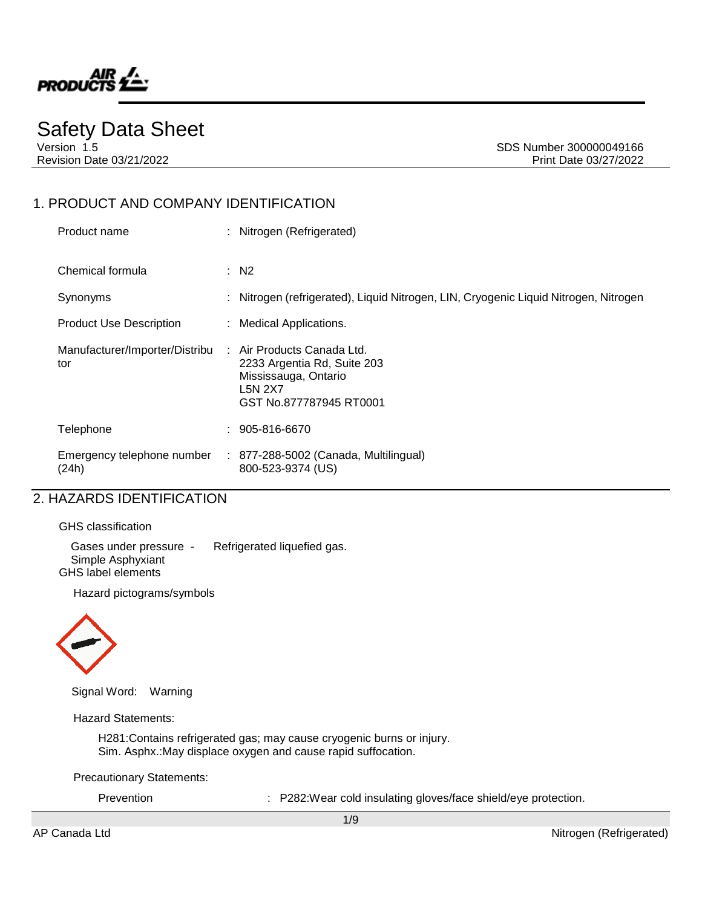

# Safety Data Sheet

Version 1.5 Superintendent Superintendent SDS Number 300000049166 Revision Date 03/21/2022 Print Date 03/27/2022

## 1. PRODUCT AND COMPANY IDENTIFICATION

| Product name                          | : Nitrogen (Refrigerated)                                                                                                      |  |
|---------------------------------------|--------------------------------------------------------------------------------------------------------------------------------|--|
| Chemical formula                      | $\therefore$ N2                                                                                                                |  |
| Synonyms                              | : Nitrogen (refrigerated), Liquid Nitrogen, LIN, Cryogenic Liquid Nitrogen, Nitrogen                                           |  |
| <b>Product Use Description</b>        | : Medical Applications.                                                                                                        |  |
| Manufacturer/Importer/Distribu<br>tor | : Air Products Canada Ltd.<br>2233 Argentia Rd, Suite 203<br>Mississauga, Ontario<br><b>L5N 2X7</b><br>GST No.877787945 RT0001 |  |
| Telephone                             | 905-816-6670                                                                                                                   |  |
| Emergency telephone number<br>(24h)   | $: 877-288-5002$ (Canada, Multilingual)<br>800-523-9374 (US)                                                                   |  |

## 2. HAZARDS IDENTIFICATION

GHS classification

Gases under pressure - Refrigerated liquefied gas. Simple Asphyxiant GHS label elements

Hazard pictograms/symbols



Signal Word: Warning

Hazard Statements:

H281:Contains refrigerated gas; may cause cryogenic burns or injury. Sim. Asphx.:May displace oxygen and cause rapid suffocation.

Precautionary Statements:

Prevention : P282:Wear cold insulating gloves/face shield/eye protection.

1/9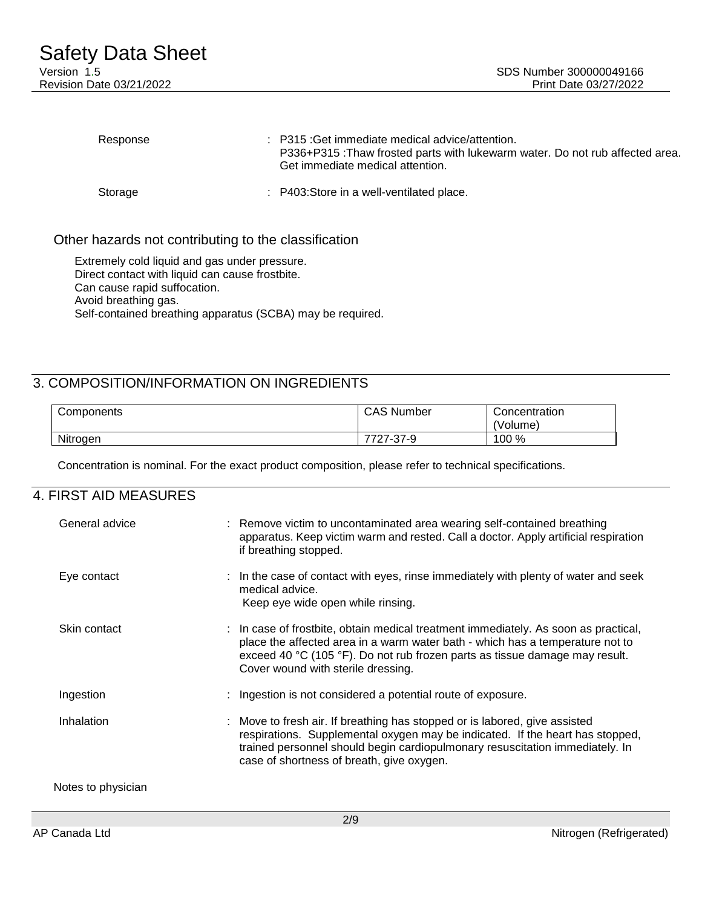| Response | $\therefore$ P315 : Get immediate medical advice/attention.<br>P336+P315: Thaw frosted parts with lukewarm water. Do not rub affected area.<br>Get immediate medical attention. |
|----------|---------------------------------------------------------------------------------------------------------------------------------------------------------------------------------|
| Storage  | : P403:Store in a well-ventilated place.                                                                                                                                        |

## Other hazards not contributing to the classification

Extremely cold liquid and gas under pressure. Direct contact with liquid can cause frostbite. Can cause rapid suffocation. Avoid breathing gas. Self-contained breathing apparatus (SCBA) may be required.

## 3. COMPOSITION/INFORMATION ON INGREDIENTS

| Components | <b>CAS Number</b> | Concentration |
|------------|-------------------|---------------|
|            |                   | (Volume)      |
| Nitrogen   | 7727-37-9         | 100 %         |

Concentration is nominal. For the exact product composition, please refer to technical specifications.

## 4. FIRST AID MEASURES

| General advice     | : Remove victim to uncontaminated area wearing self-contained breathing<br>apparatus. Keep victim warm and rested. Call a doctor. Apply artificial respiration<br>if breathing stopped.                                                                                                   |
|--------------------|-------------------------------------------------------------------------------------------------------------------------------------------------------------------------------------------------------------------------------------------------------------------------------------------|
| Eye contact        | : In the case of contact with eyes, rinse immediately with plenty of water and seek<br>medical advice.<br>Keep eye wide open while rinsing.                                                                                                                                               |
| Skin contact       | : In case of frostbite, obtain medical treatment immediately. As soon as practical,<br>place the affected area in a warm water bath - which has a temperature not to<br>exceed 40 °C (105 °F). Do not rub frozen parts as tissue damage may result.<br>Cover wound with sterile dressing. |
| Ingestion          | Ingestion is not considered a potential route of exposure.                                                                                                                                                                                                                                |
| Inhalation         | : Move to fresh air. If breathing has stopped or is labored, give assisted<br>respirations. Supplemental oxygen may be indicated. If the heart has stopped,<br>trained personnel should begin cardiopulmonary resuscitation immediately. In<br>case of shortness of breath, give oxygen.  |
| Notes to physician |                                                                                                                                                                                                                                                                                           |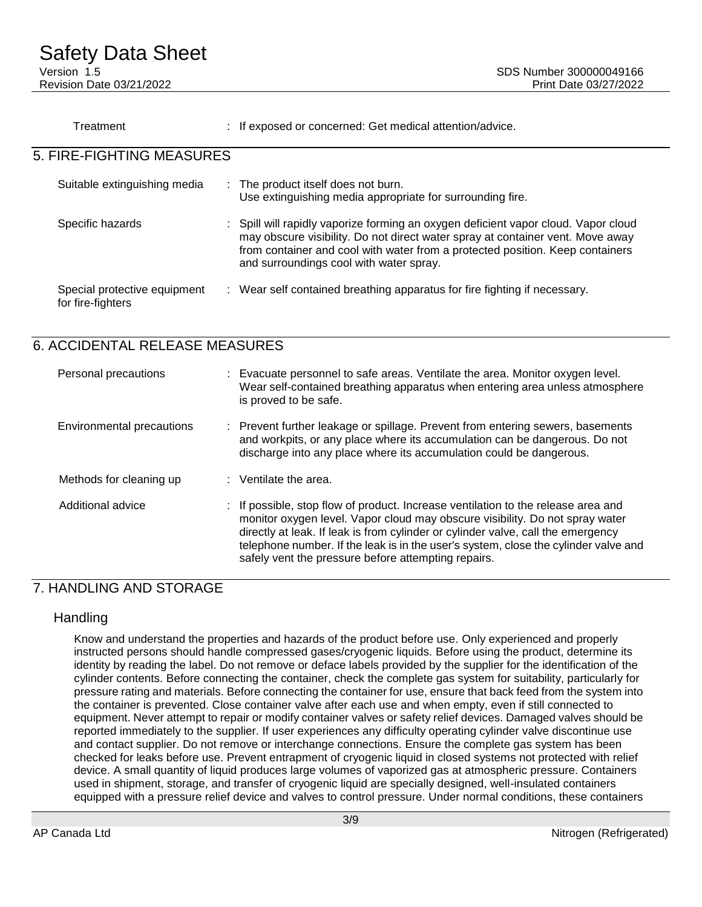| Treatment                                         | : If exposed or concerned: Get medical attention/advice.                                                                                                                                                                                                                                         |
|---------------------------------------------------|--------------------------------------------------------------------------------------------------------------------------------------------------------------------------------------------------------------------------------------------------------------------------------------------------|
| 5. FIRE-FIGHTING MEASURES                         |                                                                                                                                                                                                                                                                                                  |
| Suitable extinguishing media                      | : The product itself does not burn.<br>Use extinguishing media appropriate for surrounding fire.                                                                                                                                                                                                 |
| Specific hazards                                  | : Spill will rapidly vaporize forming an oxygen deficient vapor cloud. Vapor cloud<br>may obscure visibility. Do not direct water spray at container vent. Move away<br>from container and cool with water from a protected position. Keep containers<br>and surroundings cool with water spray. |
| Special protective equipment<br>for fire-fighters | : Wear self contained breathing apparatus for fire fighting if necessary.                                                                                                                                                                                                                        |

# 6. ACCIDENTAL RELEASE MEASURES

| Personal precautions      | : Evacuate personnel to safe areas. Ventilate the area. Monitor oxygen level.<br>Wear self-contained breathing apparatus when entering area unless atmosphere<br>is proved to be safe.                                                                                                                                                                                                              |
|---------------------------|-----------------------------------------------------------------------------------------------------------------------------------------------------------------------------------------------------------------------------------------------------------------------------------------------------------------------------------------------------------------------------------------------------|
| Environmental precautions | : Prevent further leakage or spillage. Prevent from entering sewers, basements<br>and workpits, or any place where its accumulation can be dangerous. Do not<br>discharge into any place where its accumulation could be dangerous.                                                                                                                                                                 |
| Methods for cleaning up   | $:$ Ventilate the area.                                                                                                                                                                                                                                                                                                                                                                             |
| Additional advice         | : If possible, stop flow of product. Increase ventilation to the release area and<br>monitor oxygen level. Vapor cloud may obscure visibility. Do not spray water<br>directly at leak. If leak is from cylinder or cylinder valve, call the emergency<br>telephone number. If the leak is in the user's system, close the cylinder valve and<br>safely vent the pressure before attempting repairs. |

# 7. HANDLING AND STORAGE

## Handling

Know and understand the properties and hazards of the product before use. Only experienced and properly instructed persons should handle compressed gases/cryogenic liquids. Before using the product, determine its identity by reading the label. Do not remove or deface labels provided by the supplier for the identification of the cylinder contents. Before connecting the container, check the complete gas system for suitability, particularly for pressure rating and materials. Before connecting the container for use, ensure that back feed from the system into the container is prevented. Close container valve after each use and when empty, even if still connected to equipment. Never attempt to repair or modify container valves or safety relief devices. Damaged valves should be reported immediately to the supplier. If user experiences any difficulty operating cylinder valve discontinue use and contact supplier. Do not remove or interchange connections. Ensure the complete gas system has been checked for leaks before use. Prevent entrapment of cryogenic liquid in closed systems not protected with relief device. A small quantity of liquid produces large volumes of vaporized gas at atmospheric pressure. Containers used in shipment, storage, and transfer of cryogenic liquid are specially designed, well-insulated containers equipped with a pressure relief device and valves to control pressure. Under normal conditions, these containers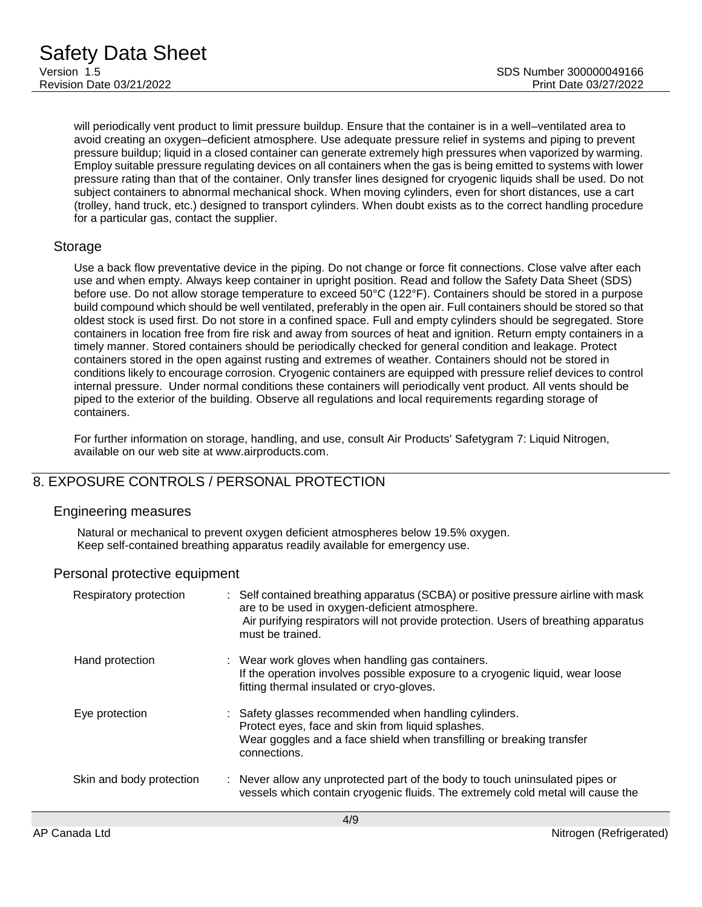will periodically vent product to limit pressure buildup. Ensure that the container is in a well–ventilated area to avoid creating an oxygen–deficient atmosphere. Use adequate pressure relief in systems and piping to prevent pressure buildup; liquid in a closed container can generate extremely high pressures when vaporized by warming. Employ suitable pressure regulating devices on all containers when the gas is being emitted to systems with lower pressure rating than that of the container. Only transfer lines designed for cryogenic liquids shall be used. Do not subject containers to abnormal mechanical shock. When moving cylinders, even for short distances, use a cart (trolley, hand truck, etc.) designed to transport cylinders. When doubt exists as to the correct handling procedure for a particular gas, contact the supplier.

## **Storage**

Use a back flow preventative device in the piping. Do not change or force fit connections. Close valve after each use and when empty. Always keep container in upright position. Read and follow the Safety Data Sheet (SDS) before use. Do not allow storage temperature to exceed 50°C (122°F). Containers should be stored in a purpose build compound which should be well ventilated, preferably in the open air. Full containers should be stored so that oldest stock is used first. Do not store in a confined space. Full and empty cylinders should be segregated. Store containers in location free from fire risk and away from sources of heat and ignition. Return empty containers in a timely manner. Stored containers should be periodically checked for general condition and leakage. Protect containers stored in the open against rusting and extremes of weather. Containers should not be stored in conditions likely to encourage corrosion. Cryogenic containers are equipped with pressure relief devices to control internal pressure. Under normal conditions these containers will periodically vent product. All vents should be piped to the exterior of the building. Observe all regulations and local requirements regarding storage of containers.

For further information on storage, handling, and use, consult Air Products' Safetygram 7: Liquid Nitrogen, available on our web site at www.airproducts.com.

# 8. EXPOSURE CONTROLS / PERSONAL PROTECTION

## Engineering measures

Natural or mechanical to prevent oxygen deficient atmospheres below 19.5% oxygen. Keep self-contained breathing apparatus readily available for emergency use.

## Personal protective equipment

| Respiratory protection   | : Self contained breathing apparatus (SCBA) or positive pressure airline with mask<br>are to be used in oxygen-deficient atmosphere.<br>Air purifying respirators will not provide protection. Users of breathing apparatus<br>must be trained. |
|--------------------------|-------------------------------------------------------------------------------------------------------------------------------------------------------------------------------------------------------------------------------------------------|
| Hand protection          | : Wear work gloves when handling gas containers.<br>If the operation involves possible exposure to a cryogenic liquid, wear loose<br>fitting thermal insulated or cryo-gloves.                                                                  |
| Eye protection           | : Safety glasses recommended when handling cylinders.<br>Protect eyes, face and skin from liquid splashes.<br>Wear goggles and a face shield when transfilling or breaking transfer<br>connections.                                             |
| Skin and body protection | : Never allow any unprotected part of the body to touch uninsulated pipes or<br>vessels which contain cryogenic fluids. The extremely cold metal will cause the                                                                                 |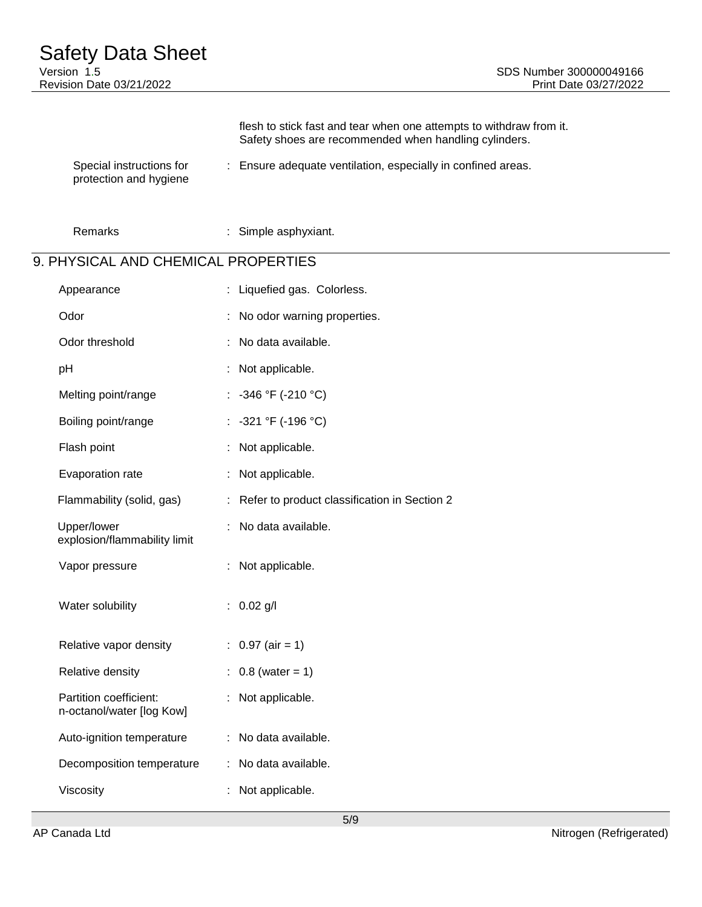Safety Data Sheet<br>Version 1.5 Revision Date 03/21/2022 Print Date 03/27/2022

|                                                    | flesh to stick fast and tear when one attempts to withdraw from it.<br>Safety shoes are recommended when handling cylinders. |
|----------------------------------------------------|------------------------------------------------------------------------------------------------------------------------------|
| Special instructions for<br>protection and hygiene | : Ensure adequate ventilation, especially in confined areas.                                                                 |

Remarks : Simple asphyxiant.

# 9. PHYSICAL AND CHEMICAL PROPERTIES

| Liquefied gas. Colorless.                    |
|----------------------------------------------|
| No odor warning properties.                  |
| No data available.                           |
| Not applicable.<br>÷.                        |
| -346 °F (-210 °C)                            |
| -321 °F (-196 °C)                            |
| Not applicable.                              |
| Not applicable.<br>÷                         |
| Refer to product classification in Section 2 |
| No data available.                           |
| Not applicable.                              |
| $0.02$ g/l                                   |
| : $0.97$ (air = 1)                           |
| $0.8$ (water = 1)                            |
| Not applicable.                              |
| No data available.<br>÷.                     |
| No data available.                           |
| Not applicable.                              |
|                                              |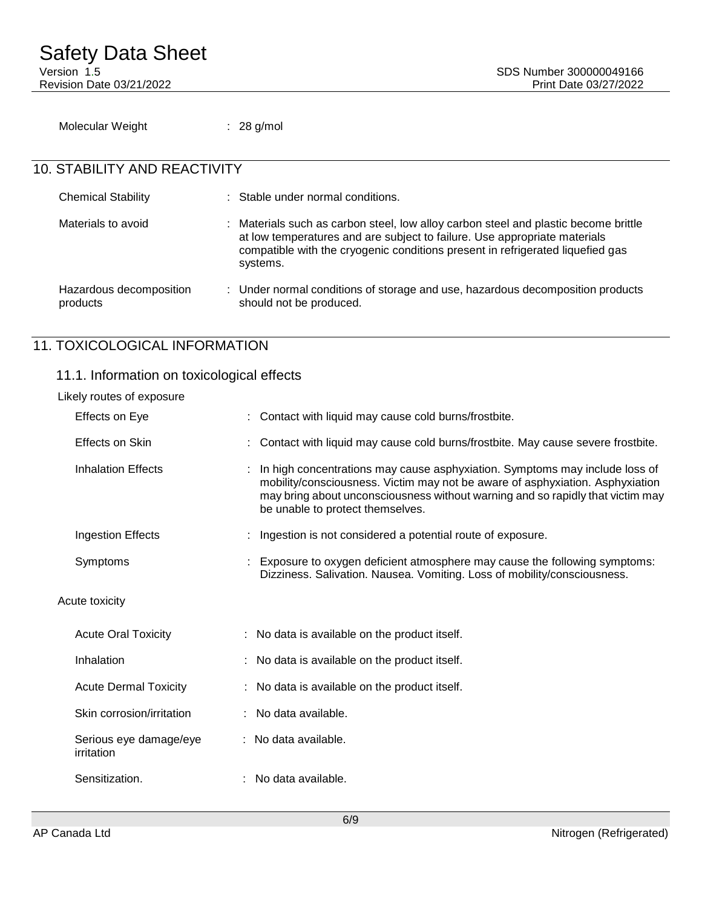Molecular Weight : 28 g/mol

# 10. STABILITY AND REACTIVITY

| <b>Chemical Stability</b>           | : Stable under normal conditions.                                                                                                                                                                                                                              |  |
|-------------------------------------|----------------------------------------------------------------------------------------------------------------------------------------------------------------------------------------------------------------------------------------------------------------|--|
| Materials to avoid                  | : Materials such as carbon steel, low alloy carbon steel and plastic become brittle<br>at low temperatures and are subject to failure. Use appropriate materials<br>compatible with the cryogenic conditions present in refrigerated liquefied gas<br>systems. |  |
| Hazardous decomposition<br>products | : Under normal conditions of storage and use, hazardous decomposition products<br>should not be produced.                                                                                                                                                      |  |

# 11. TOXICOLOGICAL INFORMATION

# 11.1. Information on toxicological effects

| Likely routes of exposure            |                                                                                                                                                                                                                                                                                    |
|--------------------------------------|------------------------------------------------------------------------------------------------------------------------------------------------------------------------------------------------------------------------------------------------------------------------------------|
| Effects on Eye                       | : Contact with liquid may cause cold burns/frostbite.                                                                                                                                                                                                                              |
| Effects on Skin                      | Contact with liquid may cause cold burns/frostbite. May cause severe frostbite.                                                                                                                                                                                                    |
| <b>Inhalation Effects</b>            | In high concentrations may cause asphyxiation. Symptoms may include loss of<br>mobility/consciousness. Victim may not be aware of asphyxiation. Asphyxiation<br>may bring about unconsciousness without warning and so rapidly that victim may<br>be unable to protect themselves. |
| Ingestion Effects                    | Ingestion is not considered a potential route of exposure.                                                                                                                                                                                                                         |
| Symptoms                             | : Exposure to oxygen deficient atmosphere may cause the following symptoms:<br>Dizziness. Salivation. Nausea. Vomiting. Loss of mobility/consciousness.                                                                                                                            |
| Acute toxicity                       |                                                                                                                                                                                                                                                                                    |
| <b>Acute Oral Toxicity</b>           | : No data is available on the product itself.                                                                                                                                                                                                                                      |
| Inhalation                           | : No data is available on the product itself.                                                                                                                                                                                                                                      |
| <b>Acute Dermal Toxicity</b>         | : No data is available on the product itself.                                                                                                                                                                                                                                      |
| Skin corrosion/irritation            | : No data available.                                                                                                                                                                                                                                                               |
| Serious eye damage/eye<br>irritation | : No data available.                                                                                                                                                                                                                                                               |
| Sensitization.                       | : No data available.                                                                                                                                                                                                                                                               |
|                                      |                                                                                                                                                                                                                                                                                    |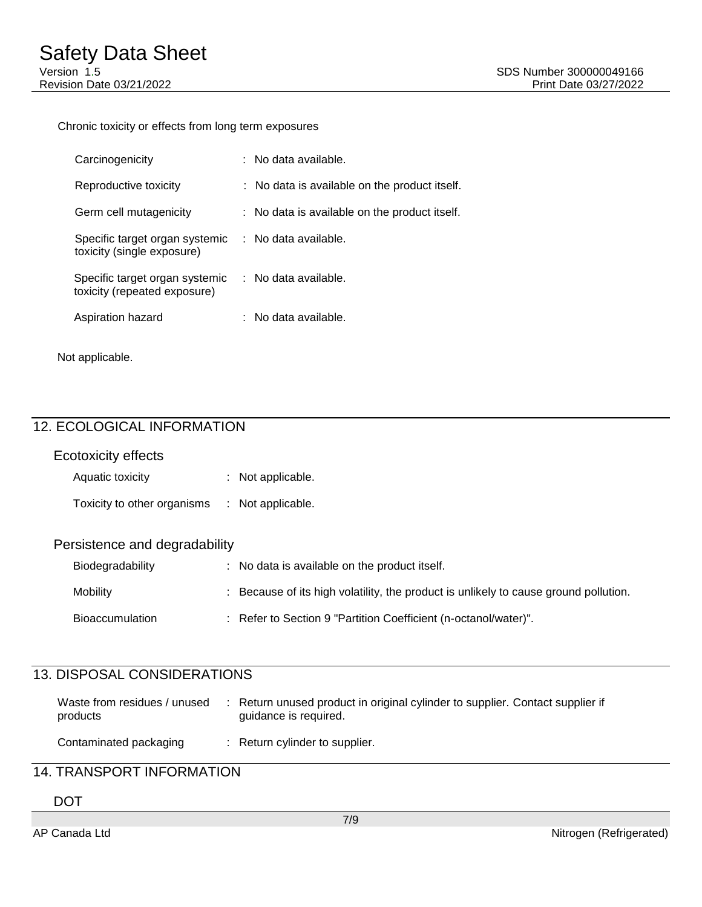#### Chronic toxicity or effects from long term exposures

| Carcinogenicity                                                | : No data available.                          |
|----------------------------------------------------------------|-----------------------------------------------|
| Reproductive toxicity                                          | : No data is available on the product itself. |
| Germ cell mutagenicity                                         | : No data is available on the product itself. |
| Specific target organ systemic<br>toxicity (single exposure)   | : No data available.                          |
| Specific target organ systemic<br>toxicity (repeated exposure) | $\therefore$ No data available.               |
| Aspiration hazard                                              | $:$ No data available.                        |
|                                                                |                                               |

Not applicable.

# 12. ECOLOGICAL INFORMATION

# Ecotoxicity effects Aquatic toxicity **:** Not applicable. Toxicity to other organisms : Not applicable. Persistence and degradability Biodegradability : No data is available on the product itself. Mobility **Secause of its high volatility, the product is unlikely to cause ground pollution.** Bioaccumulation : Refer to Section 9 "Partition Coefficient (n-octanol/water)".

## 13. DISPOSAL CONSIDERATIONS

| Waste from residues / unused<br>products | Return unused product in original cylinder to supplier. Contact supplier if<br>quidance is required. |
|------------------------------------------|------------------------------------------------------------------------------------------------------|
| Contaminated packaging                   | : Return cylinder to supplier.                                                                       |

# 14. TRANSPORT INFORMATION

DOT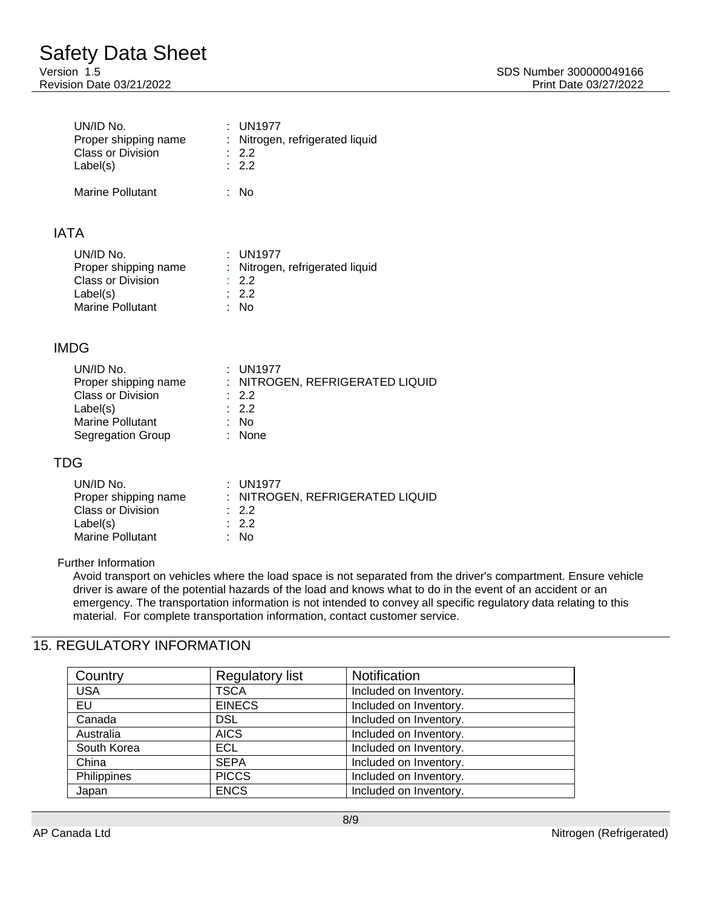| UN/ID No.<br>Proper shipping name<br><b>Class or Division</b><br>Label(s) | : UN1977<br>: Nitrogen, refrigerated liquid<br>: 2.2<br>$\therefore$ 2.2 |
|---------------------------------------------------------------------------|--------------------------------------------------------------------------|
| Marine Pollutant                                                          | : No                                                                     |

## IATA

| UN/ID No.                | $:$ UN1977                      |
|--------------------------|---------------------------------|
| Proper shipping name     | : Nitrogen, refrigerated liquid |
| <b>Class or Division</b> | $\therefore$ 2.2                |
| Label(s)                 | $\therefore$ 2.2                |
| Marine Pollutant         | : No                            |

## IMDG

| UN/ID No.                | $:$ UN1977                      |
|--------------------------|---------------------------------|
| Proper shipping name     | : NITROGEN, REFRIGERATED LIQUID |
| <b>Class or Division</b> | $\therefore$ 2.2                |
| Label(s)                 | $\therefore$ 2.2                |
| <b>Marine Pollutant</b>  | : No                            |
| Segregation Group        | : None                          |

## TDG

| UN/ID No.<br>Proper shipping name<br><b>Class or Division</b> | : UN1977<br>: NITROGEN, REFRIGERATED LIQUID<br>.22<br>$\therefore$ 2.2 |
|---------------------------------------------------------------|------------------------------------------------------------------------|
| Label(s)                                                      |                                                                        |
| <b>Marine Pollutant</b>                                       | : No                                                                   |

#### Further Information

Avoid transport on vehicles where the load space is not separated from the driver's compartment. Ensure vehicle driver is aware of the potential hazards of the load and knows what to do in the event of an accident or an emergency. The transportation information is not intended to convey all specific regulatory data relating to this material. For complete transportation information, contact customer service.

# 15. REGULATORY INFORMATION

| Country     | <b>Regulatory list</b> | <b>Notification</b>    |
|-------------|------------------------|------------------------|
| <b>USA</b>  | <b>TSCA</b>            | Included on Inventory. |
| EU          | <b>EINECS</b>          | Included on Inventory. |
| Canada      | <b>DSL</b>             | Included on Inventory. |
| Australia   | <b>AICS</b>            | Included on Inventory. |
| South Korea | ECL.                   | Included on Inventory. |
| China       | <b>SEPA</b>            | Included on Inventory. |
| Philippines | <b>PICCS</b>           | Included on Inventory. |
| Japan       | <b>ENCS</b>            | Included on Inventory. |